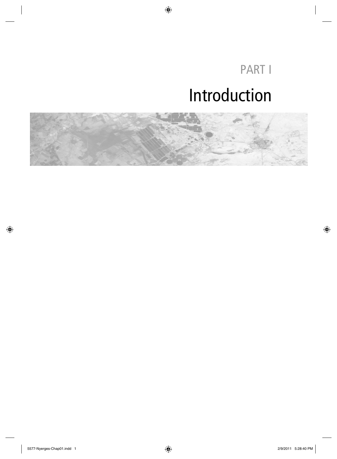# PART I Introduction



 $\bigoplus$ 

 $\bigoplus$ 

 $\bigoplus$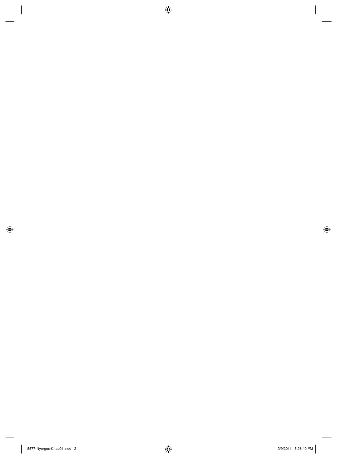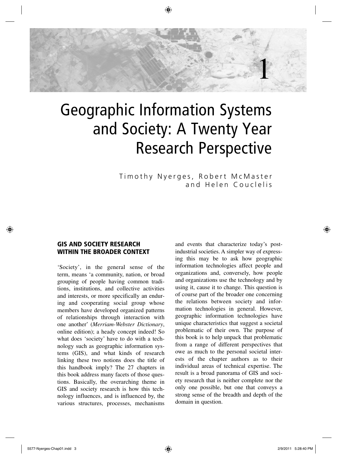

Timothy Nyerges, Robert McMaster and Helen Couclelis

## GIS AND SOCIETY RESEARCH WITHIN THE BROADER CONTEXT

'Society', in the general sense of the term, means 'a community, nation, or broad grouping of people having common traditions, institutions, and collective activities and interests, or more specifically an enduring and cooperating social group whose members have developed organized patterns of relationships through interaction with one another' (*Merriam-Webster Dictionary*, online edition); a heady concept indeed! So what does 'society' have to do with a technology such as geographic information systems (GIS), and what kinds of research linking these two notions does the title of this handbook imply? The 27 chapters in this book address many facets of those questions. Basically, the overarching theme in GIS and society research is how this technology influences, and is influenced by, the various structures, processes, mechanisms and events that characterize today's postindustrial societies. A simpler way of expressing this may be to ask how geographic information technologies affect people and organizations and, conversely, how people and organizations use the technology and by using it, cause it to change. This question is of course part of the broader one concerning the relations between society and information technologies in general. However, geographic information technologies have unique characteristics that suggest a societal problematic of their own. The purpose of this book is to help unpack that problematic from a range of different perspectives that owe as much to the personal societal interests of the chapter authors as to their individual areas of technical expertise. The result is a broad panorama of GIS and society research that is neither complete nor the only one possible, but one that conveys a strong sense of the breadth and depth of the domain in question.

1

⊕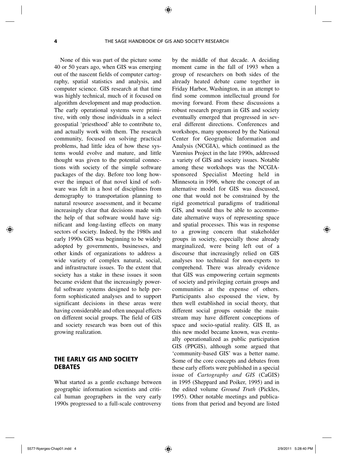None of this was part of the picture some 40 or 50 years ago, when GIS was emerging out of the nascent fields of computer cartography, spatial statistics and analysis, and computer science. GIS research at that time was highly technical, much of it focused on algorithm development and map production. The early operational systems were primitive, with only those individuals in a select geospatial 'priesthood' able to contribute to, and actually work with them. The research community, focused on solving practical problems, had little idea of how these systems would evolve and mature, and little thought was given to the potential connections with society of the simple software packages of the day. Before too long however the impact of that novel kind of software was felt in a host of disciplines from demography to transportation planning to natural resource assessment, and it became increasingly clear that decisions made with the help of that software would have significant and long-lasting effects on many sectors of society. Indeed, by the 1980s and early 1990s GIS was beginning to be widely adopted by governments, businesses, and other kinds of organizations to address a wide variety of complex natural, social, and infrastructure issues. To the extent that society has a stake in these issues it soon became evident that the increasingly powerful software systems designed to help perform sophisticated analyses and to support significant decisions in these areas were having considerable and often unequal effects on different social groups. The field of GIS and society research was born out of this growing realization.

# THE EARLY GIS AND SOCIETY DEBATES

What started as a gentle exchange between geographic information scientists and critical human geographers in the very early 1990s progressed to a full-scale controversy

by the middle of that decade. A deciding moment came in the fall of 1993 when a group of researchers on both sides of the already heated debate came together in Friday Harbor, Washington, in an attempt to find some common intellectual ground for moving forward. From these discussions a robust research program in GIS and society eventually emerged that progressed in several different directions. Conferences and workshops, many sponsored by the National Center for Geographic Information and Analysis (NCGIA), which continued as the Varenius Project in the late 1990s, addressed a variety of GIS and society issues. Notable among these workshops was the NCGIAsponsored Specialist Meeting held in Minnesota in 1996, where the concept of an alternative model for GIS was discussed, one that would not be constrained by the rigid geometrical paradigms of traditional GIS, and would thus be able to accommodate alternative ways of representing space and spatial processes. This was in response to a growing concern that stakeholder groups in society, especially those already marginalized, were being left out of a discourse that increasingly relied on GIS analyses too technical for non-experts to comprehend. There was already evidence that GIS was empowering certain segments of society and privileging certain groups and communities at the expense of others. Participants also espoused the view, by then well established in social theory, that different social groups outside the mainstream may have different conceptions of space and socio-spatial reality. GIS II, as this new model became known, was eventually operationalized as public participation GIS (PPGIS), although some argued that 'community-based GIS' was a better name. Some of the core concepts and debates from these early efforts were published in a special issue of *Cartography and GIS* (CaGIS) in 1995 (Sheppard and Poiker, 1995) and in the edited volume *Ground Truth* (Pickles, 1995). Other notable meetings and publications from that period and beyond are listed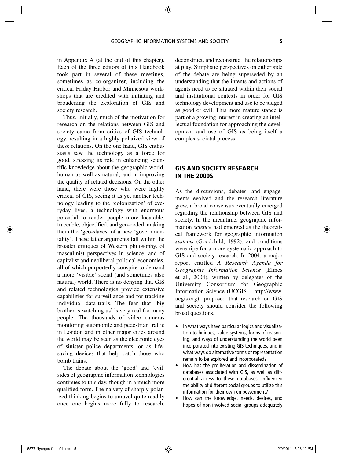in Appendix A (at the end of this chapter). Each of the three editors of this Handbook took part in several of these meetings, sometimes as co-organizer, including the critical Friday Harbor and Minnesota workshops that are credited with initiating and broadening the exploration of GIS and society research.

Thus, initially, much of the motivation for research on the relations between GIS and society came from critics of GIS technology, resulting in a highly polarized view of these relations. On the one hand, GIS enthusiasts saw the technology as a force for good, stressing its role in enhancing scientific knowledge about the geographic world, human as well as natural, and in improving the quality of related decisions. On the other hand, there were those who were highly critical of GIS, seeing it as yet another technology leading to the 'colonization' of everyday lives, a technology with enormous potential to render people more locatable, traceable, objectified, and geo-coded, making them the 'geo-slaves' of a new 'governmentality'. These latter arguments fall within the broader critiques of Western philosophy, of masculinist perspectives in science, and of capitalist and neoliberal political economies, all of which purportedly conspire to demand a more 'visible' social (and sometimes also natural) world. There is no denying that GIS and related technologies provide extensive capabilities for surveillance and for tracking individual data-trails. The fear that 'big brother is watching us' is very real for many people. The thousands of video cameras monitoring automobile and pedestrian traffic in London and in other major cities around the world may be seen as the electronic eyes of sinister police departments, or as lifesaving devices that help catch those who bomb trains.

The debate about the 'good' and 'evil' sides of geographic information technologies continues to this day, though in a much more qualified form. The naivety of sharply polarized thinking begins to unravel quite readily once one begins more fully to research,

deconstruct, and reconstruct the relationships at play. Simplistic perspectives on either side of the debate are being superseded by an understanding that the intents and actions of agents need to be situated within their social and institutional contexts in order for GIS technology development and use to be judged as good or evil. This more mature stance is part of a growing interest in creating an intellectual foundation for approaching the development and use of GIS as being itself a complex societal process.

## GIS AND SOCIETY RESEARCH IN THE 2000S

As the discussions, debates, and engagements evolved and the research literature grew, a broad consensus eventually emerged regarding the relationship between GIS and society. In the meantime, geographic information *science* had emerged as the theoretical framework for geographic information *systems* (Goodchild, 1992), and conditions were ripe for a more systematic approach to GIS and society research. In 2004, a major report entitled *A Research Agenda for Geographic Information Science* (Elmes et al., 2004), written by delegates of the University Consortium for Geographic Information Science (UCGIS – http://www. ucgis.org), proposed that research on GIS and society should consider the following broad questions.

- In what ways have particular logics and visualization techniques, value systems, forms of reasoning, and ways of understanding the world been incorporated into existing GIS techniques, and in what ways do alternative forms of representation remain to be explored and incorporated?
- How has the proliferation and dissemination of databases associated with GIS, as well as differential access to these databases, influenced the ability of different social groups to utilize this information for their own empowerment?
- How can the knowledge, needs, desires, and hopes of non-involved social groups adequately

5577-Nyerges-Chap01.indd 5 577-Nyerges-Chap01.indd 2/9/2011 5:28:40 PM /9/2011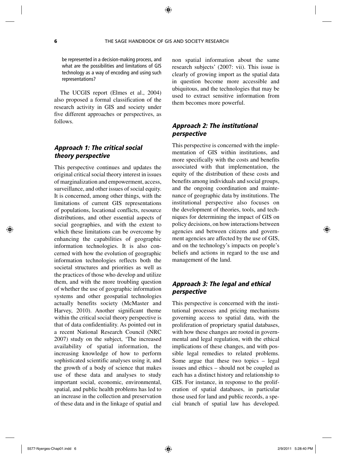be represented in a decision-making process, and what are the possibilities and limitations of GIS technology as a way of encoding and using such representations?

The UCGIS report (Elmes et al., 2004) also proposed a formal classification of the research activity in GIS and society under five different approaches or perspectives, as follows.

# *Approach 1: The critical social theory perspective*

This perspective continues and updates the original critical social theory interest in issues of marginalization and empowerment, access, surveillance, and other issues of social equity. It is concerned, among other things, with the limitations of current GIS representations of populations, locational conflicts, resource distributions, and other essential aspects of social geographies, and with the extent to which these limitations can be overcome by enhancing the capabilities of geographic information technologies. It is also concerned with how the evolution of geographic information technologies reflects both the societal structures and priorities as well as the practices of those who develop and utilize them, and with the more troubling question of whether the use of geographic information systems and other geospatial technologies actually benefits society (McMaster and Harvey, 2010). Another significant theme within the critical social theory perspective is that of data confidentiality. As pointed out in a recent National Research Council (NRC 2007) study on the subject, 'The increased availability of spatial information, the increasing knowledge of how to perform sophisticated scientific analyses using it, and the growth of a body of science that makes use of these data and analyses to study important social, economic, environmental, spatial, and public health problems has led to an increase in the collection and preservation of these data and in the linkage of spatial and

non spatial information about the same research subjects' (2007: vii). This issue is clearly of growing import as the spatial data in question become more accessible and ubiquitous, and the technologies that may be used to extract sensitive information from them becomes more powerful.

# *Approach 2: The institutional perspective*

This perspective is concerned with the implementation of GIS within institutions, and more specifically with the costs and benefits associated with that implementation, the equity of the distribution of these costs and benefits among individuals and social groups, and the ongoing coordination and maintenance of geographic data by institutions. The institutional perspective also focuses on the development of theories, tools, and techniques for determining the impact of GIS on policy decisions, on how interactions between agencies and between citizens and government agencies are affected by the use of GIS, and on the technology's impacts on people's beliefs and actions in regard to the use and management of the land.

## *Approach 3: The legal and ethical perspective*

This perspective is concerned with the institutional processes and pricing mechanisms governing access to spatial data, with the proliferation of proprietary spatial databases, with how these changes are rooted in governmental and legal regulation, with the ethical implications of these changes, and with possible legal remedies to related problems. Some argue that these two topics – legal issues and ethics – should not be coupled as each has a distinct history and relationship to GIS. For instance, in response to the proliferation of spatial databases, in particular those used for land and public records, a special branch of spatial law has developed.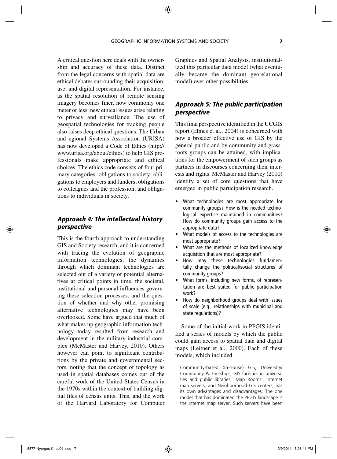A critical question here deals with the ownership and accuracy of these data. Distinct from the legal concerns with spatial data are ethical debates surrounding their acquisition, use, and digital representation. For instance, as the spatial resolution of remote sensing imagery becomes finer, now commonly one meter or less, new ethical issues arise relating to privacy and surveillance. The use of geospatial technologies for tracking people also raises deep ethical questions. The Urban and egional Systems Association (URISA) has now developed a Code of Ethics (http:// www.urisa.org/about/ethics) to help GIS professionals make appropriate and ethical choices. The ethics code consists of four primary categories: obligations to society; obligations to employers and funders; obligations to colleagues and the profession; and obligations to individuals in society.

# *Approach 4: The intellectual history perspective*

This is the fourth approach to understanding GIS and Society research, and it is concerned with tracing the evolution of geographic information technologies, the dynamics through which dominant technologies are selected out of a variety of potential alternatives at critical points in time, the societal, institutional and personal influences governing these selection processes, and the question of whether and why other promising alternative technologies may have been overlooked. Some have argued that much of what makes up geographic information technology today resulted from research and development in the military-industrial complex (McMaster and Harvey, 2010). Others however can point to significant contributions by the private and governmental sectors, noting that the concept of topology as used in spatial databases comes out of the careful work of the United States Census in the 1970s within the context of building digital files of census units. This, and the work of the Harvard Laboratory for Computer Graphics and Spatial Analysis, institutionalized this particular data model (what eventually became the dominant georelational model) over other possibilities.

# *Approach 5: The public participation perspective*

This final perspective identified in the UCGIS report (Elmes et al., 2004) is concerned with how a broader effective use of GIS by the general public and by community and grassroots groups can be attained, with implications for the empowerment of such groups as partners in discourses concerning their interests and rights. McMaster and Harvey (2010) identify a set of core questions that have emerged in public participation research.

- What technologies are most appropriate for community groups? How is the needed technological expertise maintained in communities? How do community groups gain access to the appropriate data?
- What models of access to the technologies are most appropriate?
- What are the methods of localized knowledge acquisition that are most appropriate?
- How may these technologies fundamentally change the political/social structures of community groups?
- What forms, including new forms, of representation are best suited for public participation work?
- How do neighborhood groups deal with issues of scale (e.g., relationships with municipal and state regulations)?

Some of the initial work in PPGIS identified a series of models by which the public could gain access to spatial data and digital maps (Leitner et al., 2000). Each of these models, which included

Community-based (in-house) GIS, University/ Community Partnerships, GIS facilities in universities and public libraries, 'Map Rooms', Internet map servers, and Neighborhood GIS centers, has its own advantages and disadvantages. The one model that has dominated the PPGIS landscape is the Internet map server. Such servers have been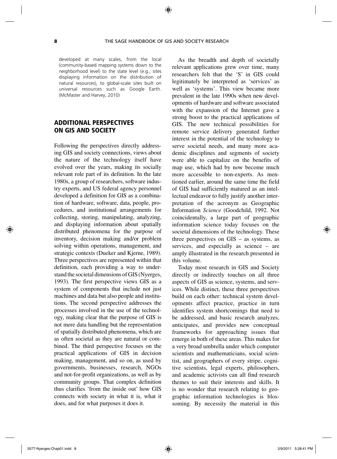developed at many scales, from the local (community-based mapping systems down to the neighborhood level) to the state level (e.g., sites displaying information on the distribution of natural resources), to global-scale sites built on universal resources such as Google Earth. (McMaster and Harvey, 2010)

## ADDITIONAL PERSPECTIVES ON GIS AND SOCIETY

Following the perspectives directly addressing GIS and society connections, views about the nature of the technology itself have evolved over the years, making its socially relevant role part of its definition. In the late 1980s, a group of researchers, software industry experts, and US federal agency personnel developed a definition for GIS as a combination of hardware, software, data, people, procedures, and institutional arrangements for collecting, storing, manipulating, analyzing, and displaying information about spatially distributed phenomena for the purpose of inventory, decision making and/or problem solving within operations, management, and strategic contexts (Dueker and Kjerne, 1989). Three perspectives are represented within that definition, each providing a way to understand the societal dimensions of GIS (Nyerges, 1993). The first perspective views GIS as a system of components that include not just machines and data but also people and institutions. The second perspective addresses the processes involved in the use of the technology, making clear that the purpose of GIS is not mere data handling but the representation of spatially distributed phenomena, which are as often societal as they are natural or combined. The third perspective focuses on the practical applications of GIS in decision making, management, and so on, as used by governments, businesses, research, NGOs and not-for-profit organizations, as well as by community groups. That complex definition thus clarifies 'from the inside out' how GIS connects with society in what it is, what it does, and for what purposes it does it.

As the breadth and depth of societally relevant applications grew over time, many researchers felt that the 'S' in GIS could legitimately be interpreted as 'services' as well as 'systems'. This view became more prevalent in the late 1990s when new developments of hardware and software associated with the expansion of the Internet gave a strong boost to the practical applications of GIS. The new technical possibilities for remote service delivery generated further interest in the potential of the technology to serve societal needs, and many more academic disciplines and segments of society were able to capitalize on the benefits of map use, which had by now become much more accessible to non-experts. As mentioned earlier, around the same time the field of GIS had sufficiently matured as an intellectual endeavor to fully justify another interpretation of the acronym as Geographic Information *Science* (Goodchild, 1992. Not coincidentally, a large part of geographic information science today focuses on the societal dimensions of the technology. These three perspectives on GIS – as systems, as services, and especially as science – are amply illustrated in the research presented in this volume.

Today most research in GIS and Society directly or indirectly touches on all three aspects of GIS as science, systems, and services. While distinct, these three perspectives build on each other: technical system developments affect practice, practice in turn identifies system shortcomings that need to be addressed, and basic research analyzes, anticipates, and provides new conceptual frameworks for approaching issues that emerge in both of these areas. This makes for a very broad umbrella under which computer scientists and mathematicians, social scientist, and geographers of every stripe, cognitive scientists, legal experts, philosophers, and academic activists can all find research themes to suit their interests and skills. It is no wonder that research relating to geographic information technologies is blossoming. By necessity the material in this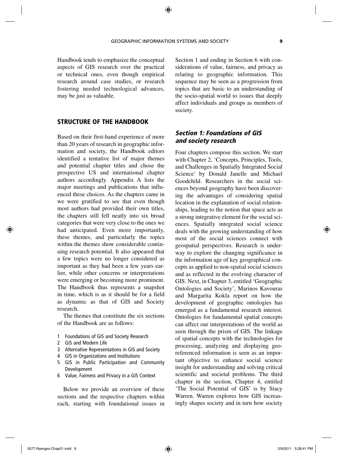Handbook tends to emphasize the conceptual aspects of GIS research over the practical or technical ones, even though empirical research around case studies, or research fostering needed technological advances, may be just as valuable.

## STRUCTURE OF THE HANDBOOK

Based on their first-hand experience of more than 20 years of research in geographic information and society, the Handbook editors identified a tentative list of major themes and potential chapter titles and chose the prospective US and international chapter authors accordingly. Appendix A lists the major meetings and publications that influenced these choices. As the chapters came in we were gratified to see that even though most authors had provided their own titles, the chapters still fell neatly into six broad categories that were very close to the ones we had anticipated. Even more importantly, these themes, and particularly the topics within the themes show considerable continuing research potential. It also appeared that a few topics were no longer considered as important as they had been a few years earlier, while other concerns or interpretations were emerging or becoming more prominent. The Handbook thus represents a snapshot in time, which is as it should be for a field as dynamic as that of GIS and Society research.

The themes that constitute the six sections of the Handbook are as follows:

- 1 Foundations of GIS and Society Research
- 2 GIS and Modern Life
- 3 Alternative Representations in GIS and Society
- 4 GIS in Organizations and Institutions
- 5 GIS in Public Participation and Community Development
- 6 Value, Fairness and Privacy in a GIS Context

Below we provide an overview of these sections and the respective chapters within each, starting with foundational issues in Section 1 and ending in Section 6 with considerations of value, fairness, and privacy as relating to geographic information. This sequence may be seen as a progression from topics that are basic to an understanding of the socio-spatial world to issues that deeply affect individuals and groups as members of society.

# *Section 1: Foundations of GIS and society research*

Four chapters compose this section. We start with Chapter 2, 'Concepts, Principles, Tools, and Challenges in Spatially Integrated Social Science' by Donald Janelle and Michael Goodchild. Researchers in the social sciences beyond geography have been discovering the advantages of considering spatial location in the explanation of social relationships, leading to the notion that space acts as a strong integrative element for the social sciences. Spatially integrated social science deals with the growing understanding of how most of the social sciences connect with geospatial perspectives. Research is underway to explore the changing significance in the information age of key geographical concepts as applied to non-spatial social sciences and as reflected in the evolving character of GIS. Next, in Chapter 3, entitled 'Geographic Ontologies and Society', Marinos Kavouras and Margarita Kokla report on how the development of geographic ontologies has emerged as a fundamental research interest. Ontologies for fundamental spatial concepts can affect our interpretations of the world as seen through the prism of GIS. The linkage of spatial concepts with the technologies for processing, analyzing and displaying georeferenced information is seen as an important objective to enhance social science insight for understanding and solving critical scientific and societal problems. The third chapter in the section, Chapter 4, entitled 'The Social Potential of GIS' is by Stacy Warren. Warren explores how GIS increasingly shapes society and in turn how society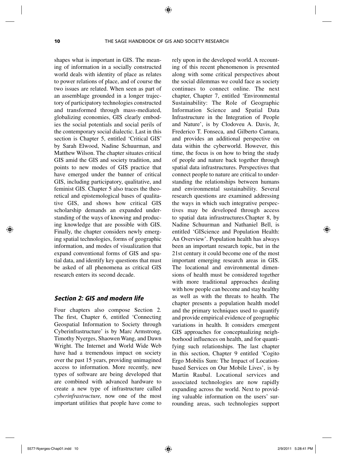shapes what is important in GIS. The meaning of information in a socially constructed world deals with identity of place as relates to power relations of place, and of course the two issues are related. When seen as part of an assemblage grounded in a longer trajectory of participatory technologies constructed and transformed through mass-mediated, globalizing economies, GIS clearly embodies the social potentials and social perils of the contemporary social dialectic. Last in this section is Chapter 5, entitled 'Critical GIS' by Sarah Elwood, Nadine Schuurman, and Matthew Wilson. The chapter situates critical GIS amid the GIS and society tradition, and points to new modes of GIS practice that have emerged under the banner of critical GIS, including participatory, qualitative, and feminist GIS. Chapter 5 also traces the theoretical and epistemological bases of qualitative GIS, and shows how critical GIS scholarship demands an expanded understanding of the ways of knowing and producing knowledge that are possible with GIS. Finally, the chapter considers newly emerging spatial technologies, forms of geographic information, and modes of visualization that expand conventional forms of GIS and spatial data, and identify key questions that must be asked of all phenomena as critical GIS research enters its second decade.

#### *Section 2: GIS and modern life*

Four chapters also compose Section 2*.* The first, Chapter 6, entitled 'Connecting Geospatial Information to Society through Cyberinfrastructure' is by Marc Armstrong, Timothy Nyerges, Shaowen Wang, and Dawn Wright. The Internet and World Wide Web have had a tremendous impact on society over the past 15 years, providing unimagined access to information. More recently, new types of software are being developed that are combined with advanced hardware to create a new type of infrastructure called *cyberinfrastructure,* now one of the most important utilities that people have come to

rely upon in the developed world. A recounting of this recent phenomenon is presented along with some critical perspectives about the social dilemmas we could face as society continues to connect online. The next chapter, Chapter 7, entitled 'Environmental Sustainability: The Role of Geographic Information Science and Spatial Data Infrastructure in the Integration of People and Nature', is by Clodoveu A. Davis, Jr, Frederico T. Fonseca, and Gilberto Camara, and provides an additional perspective on data within the cyberworld. However, this time, the focus is on how to bring the study of people and nature back together through spatial data infrastructures. Perspectives that connect people to nature are critical to understanding the relationships between humans and environmental sustainability. Several research questions are examined addressing the ways in which such integrative perspectives may be developed through access to spatial data infrastructures.Chapter 8, by Nadine Schuurman and Nathaniel Bell, is entitled 'GIScience and Population Health: An Overview'. Population health has always been an important research topic, but in the 21st century it could become one of the most important emerging research areas in GIS. The locational and environmental dimensions of health must be considered together with more traditional approaches dealing with how people can become and stay healthy as well as with the threats to health. The chapter presents a population health model and the primary techniques used to quantify and provide empirical evidence of geographic variations in health. It considers emergent GIS approaches for conceptualizing neighborhood influences on health, and for quantifying such relationships. The last chapter in this section, Chapter 9 entitled 'Cogito Ergo Mobilis Sum: The Impact of Locationbased Services on Our Mobile Lives', is by Martin Raubal. Locational services and associated technologies are now rapidly expanding across the world. Next to providing valuable information on the users' surrounding areas, such technologies support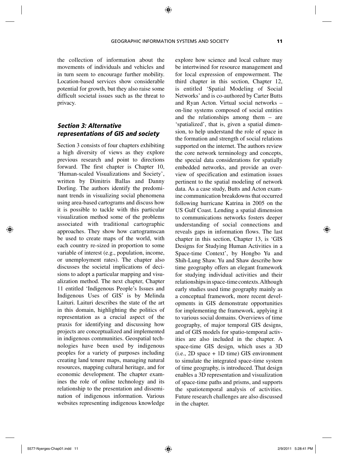the collection of information about the movements of individuals and vehicles and in turn seem to encourage further mobility. Location-based services show considerable potential for growth, but they also raise some difficult societal issues such as the threat to privacy.

# *Section 3: Alternative representations of GIS and society*

Section 3 consists of four chapters exhibiting a high diversity of views as they explore previous research and point to directions forward. The first chapter is Chapter 10, 'Human-scaled Visualizations and Society', written by Dimitris Ballas and Danny Dorling. The authors identify the predominant trends in visualizing social phenomena using area-based cartograms and discuss how it is possible to tackle with this particular visualization method some of the problems associated with traditional cartographic approaches. They show how cartogramscan be used to create maps of the world, with each country re-sized in proportion to some variable of interest (e.g., population, income, or unemployment rates). The chapter also discusses the societal implications of decisions to adopt a particular mapping and visualization method. The next chapter, Chapter 11 entitled 'Indigenous People's Issues and Indigenous Uses of GIS' is by Melinda Laituri. Laituri describes the state of the art in this domain, highlighting the politics of representation as a crucial aspect of the praxis for identifying and discussing how projects are conceptualized and implemented in indigenous communities. Geospatial technologies have been used by indigenous peoples for a variety of purposes including creating land tenure maps, managing natural resources, mapping cultural heritage, and for economic development. The chapter examines the role of online technology and its relationship to the presentation and dissemination of indigenous information. Various websites representing indigenous knowledge explore how science and local culture may be intertwined for resource management and for local expression of empowerment. The third chapter in this section, Chapter 12, is entitled 'Spatial Modeling of Social Networks' and is co-authored by Carter Butts and Ryan Acton. Virtual social networks – on-line systems composed of social entities and the relationships among them – are 'spatialized', that is, given a spatial dimension, to help understand the role of space in the formation and strength of social relations supported on the internet. The authors review the core network terminology and concepts, the special data considerations for spatially embedded networks, and provide an overview of specification and estimation issues pertinent to the spatial modeling of network data. As a case study, Butts and Acton examine communication breakdowns that occurred following hurricane Katrina in 2005 on the US Gulf Coast. Lending a spatial dimension to communications networks fosters deeper understanding of social connections and reveals gaps in information flows. The last chapter in this section, Chapter 13, is 'GIS Designs for Studying Human Activities in a Space-time Context', by Hongbo Yu and Shih-Lung Shaw. Yu and Shaw describe how time geography offers an elegant framework for studying individual activities and their relationships in space-time contexts. Although early studies used time geography mainly as a conceptual framework, more recent developments in GIS demonstrate opportunities for implementing the framework, applying it to various social domains. Overviews of time geography, of major temporal GIS designs, and of GIS models for spatio-temporal activities are also included in the chapter. A space-time GIS design, which uses a 3D (i.e., 2D space + 1D time) GIS environment to simulate the integrated space-time system of time geography, is introduced. That design enables a 3D representation and visualization of space-time paths and prisms, and supports the spatiotemporal analysis of activities. Future research challenges are also discussed in the chapter.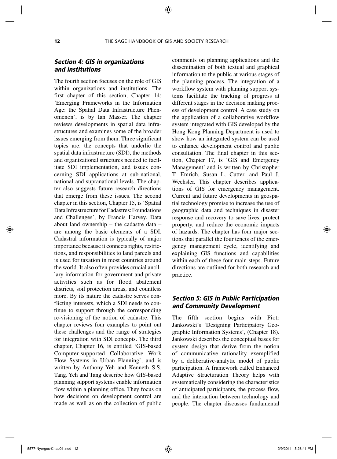# *Section 4: GIS in organizations and institutions*

The fourth section focuses on the role of GIS within organizations and institutions. The first chapter of this section, Chapter 14: 'Emerging Frameworks in the Information Age: the Spatial Data Infrastructure Phenomenon', is by Ian Masser. The chapter reviews developments in spatial data infrastructures and examines some of the broader issues emerging from them. Three significant topics are: the concepts that underlie the spatial data infrastructure (SDI), the methods and organizational structures needed to facilitate SDI implementation, and issues concerning SDI applications at sub-national, national and supranational levels. The chapter also suggests future research directions that emerge from these issues. The second chapter in this section, Chapter 15, is 'Spatial Data Infrastructure for Cadastres: Foundations and Challenges', by Francis Harvey. Data about land ownership – the cadastre data – are among the basic elements of a SDI. Cadastral information is typically of major importance because it connects rights, restrictions, and responsibilities to land parcels and is used for taxation in most countries around the world. It also often provides crucial ancillary information for government and private activities such as for flood abatement districts, soil protection areas, and countless more. By its nature the cadastre serves conflicting interests, which a SDI needs to continue to support through the corresponding re-visioning of the notion of cadastre. This chapter reviews four examples to point out these challenges and the range of strategies for integration with SDI concepts. The third chapter, Chapter 16, is entitled 'GIS-based Computer-supported Collaborative Work Flow Systems in Urban Planning', and is written by Anthony Yeh and Kenneth S.S. Tang. Yeh and Tang describe how GIS-based planning support systems enable information flow within a planning office. They focus on how decisions on development control are made as well as on the collection of public

comments on planning applications and the dissemination of both textual and graphical information to the public at various stages of the planning process. The integration of a workflow system with planning support systems facilitate the tracking of progress at different stages in the decision making process of development control. A case study on the application of a collaborative workflow system integrated with GIS developed by the Hong Kong Planning Department is used to show how an integrated system can be used to enhance development control and public consultation. The final chapter in this section, Chapter 17, is 'GIS and Emergency Management' and is written by Christopher T. Emrich, Susan L. Cutter, and Paul J. Wechsler. This chapter describes applications of GIS for emergency management. Current and future developments in geospatial technology promise to increase the use of geographic data and techniques in disaster response and recovery to save lives, protect property, and reduce the economic impacts of hazards. The chapter has four major sections that parallel the four tenets of the emergency management cycle, identifying and explaining GIS functions and capabilities within each of these four main steps. Future directions are outlined for both research and practice.

## *Section 5: GIS in Public Participation and Community Development*

The fifth section begins with Piotr Jankowski's 'Designing Participatory Geographic Information Systems', (Chapter 18). Jankowski describes the conceptual bases for system design that derive from the notion of communicative rationality exemplified by a deliberative-analytic model of public participation. A framework called Enhanced Adaptive Structuration Theory helps with systematically considering the characteristics of anticipated participants, the process flow, and the interaction between technology and people. The chapter discusses fundamental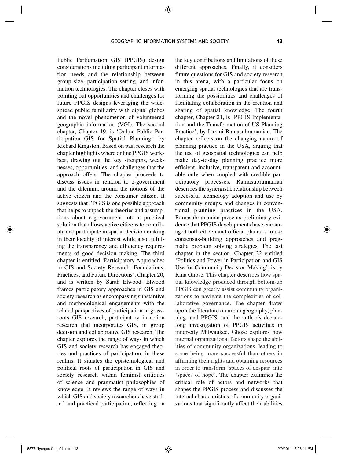Public Participation GIS (PPGIS) design considerations including participant information needs and the relationship between group size, participation setting, and information technologies. The chapter closes with pointing out opportunities and challenges for future PPGIS designs leveraging the widespread public familiarity with digital globes and the novel phenomenon of volunteered geographic information (VGI). The second chapter, Chapter 19, is 'Online Public Participation GIS for Spatial Planning', by Richard Kingston. Based on past research the chapter highlights where online PPGIS works best, drawing out the key strengths, weaknesses, opportunities, and challenges that the approach offers. The chapter proceeds to discuss issues in relation to e-government and the dilemma around the notions of the active citizen and the consumer citizen. It suggests that PPGIS is one possible approach that helps to unpack the theories and assumptions about e-government into a practical solution that allows active citizens to contribute and participate in spatial decision making in their locality of interest while also fulfilling the transparency and efficiency requirements of good decision making. The third chapter is entitled 'Participatory Approaches in GIS and Society Research: Foundations, Practices, and Future Directions', Chapter 20, and is written by Sarah Elwood. Elwood frames participatory approaches in GIS and society research as encompassing substantive and methodological engagements with the related perspectives of participation in grassroots GIS research, participatory in action research that incorporates GIS, in group decision and collaborative GIS research. The chapter explores the range of ways in which GIS and society research has engaged theories and practices of participation, in these realms. It situates the epistemological and political roots of participation in GIS and society research within feminist critiques of science and pragmatist philosophies of knowledge. It reviews the range of ways in which GIS and society researchers have studied and practiced participation, reflecting on the key contributions and limitations of these different approaches. Finally, it considers future questions for GIS and society research in this arena, with a particular focus on emerging spatial technologies that are transforming the possibilities and challenges of facilitating collaboration in the creation and sharing of spatial knowledge. The fourth chapter, Chapter 21, is 'PPGIS Implementation and the Transformation of US Planning Practice', by Laxmi Ramasubramanian. The chapter reflects on the changing nature of planning practice in the USA, arguing that the use of geospatial technologies can help make day-to-day planning practice more efficient, inclusive, transparent and accountable only when coupled with credible participatory processes. Ramasubramanian describes the synergistic relationship between successful technology adoption and use by community groups, and changes in conventional planning practices in the USA. Ramasubramanian presents preliminary evidence that PPGIS developments have encouraged both citizen and official planners to use consensus-building approaches and pragmatic problem solving strategies. The last chapter in the section, Chapter 22 entitled 'Politics and Power in Participation and GIS Use for Community Decision Making', is by Rina Ghose. This chapter describes how spatial knowledge produced through bottom-up PPGIS can greatly assist community organizations to navigate the complexities of collaborative governance. The chapter draws upon the literature on urban geography, planning, and PPGIS, and the author's decadelong investigation of PPGIS activities in inner-city Milwaukee. Ghose explores how internal organizational factors shape the abilities of community organizations, leading to some being more successful than others in affirming their rights and obtaining resources in order to transform 'spaces of despair' into 'spaces of hope'. The chapter examines the critical role of actors and networks that shapes the PPGIS process and discusses the internal characteristics of community organizations that significantly affect their abilities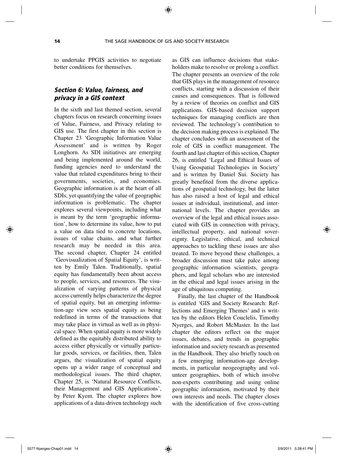to undertake PPGIS activities to negotiate better conditions for themselves.

# *Section 6: Value, fairness, and privacy in a GIS context*

In the sixth and last themed section, several chapters focus on research concerning issues of Value, Fairness, and Privacy relating to GIS use. The first chapter in this section is Chapter 23 'Geographic Information Value Assessment' and is written by Roger Longhorn. As SDI initiatives are emerging and being implemented around the world, funding agencies need to understand the value that related expenditures bring to their governments, societies, and economies. Geographic information is at the heart of all SDIs, yet quantifying the value of geographic information is problematic. The chapter explores several viewpoints, including what is meant by the term 'geographic information', how to determine its value, how to put a value on data tied to concrete locations, issues of value chains, and what further research may be needed in this area. The second chapter, Chapter 24 entitled 'Geovisualization of Spatial Equity', is written by Emily Talen. Traditionally, spatial equity has fundamentally been about access to people, services, and resources. The visualization of varying patterns of physical access currently helps characterize the degree of spatial equity, but an emerging information-age view sees spatial equity as being redefined in terms of the transactions that may take place in virtual as well as in physical space. When spatial equity is more widely defined as the equitably distributed ability to access either physically or virtually particular goods, services, or facilities, then, Talen argues, the visualization of spatial equity opens up a wider range of conceptual and methodological issues. The third chapter, Chapter 25, is 'Natural Resource Conflicts, their Management and GIS Applications', by Peter Kyem. The chapter explores how applications of a data-driven technology such as GIS can influence decisions that stakeholders make to resolve or prolong a conflict. The chapter presents an overview of the role that GIS plays in the management of resource conflicts, starting with a discussion of their causes and consequences. That is followed by a review of theories on conflict and GIS applications. GIS-based decision support techniques for managing conflicts are then reviewed. The technology's contribution to the decision making process is explained. The chapter concludes with an assessment of the role of GIS in conflict management. The fourth and last chapter of this section, Chapter 26, is entitled 'Legal and Ethical Issues of Using Geospatial Technologies in Society' and is written by Daniel Sui. Society has greatly benefited from the diverse applications of geospatial technology, but the latter has also raised a host of legal and ethical issues at individual, institutional, and international levels. The chapter provides an overview of the legal and ethical issues associated with GIS in connection with privacy, intellectual property, and national sovereignty. Legislative, ethical, and technical approaches to tackling these issues are also treated. To move beyond these challenges, a broader discussion must take palce among geographic information scientists, geographers, and legal scholars who are interested in the ethical and legal issues arising in the age of ubiquitous computing.

Finally, the last chapter of the Handbook is entitled 'GIS and Society Research: Reflections and Emerging Themes' and is written by the editors Helen Couclelis, Timothy Nyerges, and Robert McMaster. In the last chapter the editors reflect on the major issues, debates, and trends in geographic information and society research as presented in the Handbook. They also briefly touch on a few emerging information-age developments, in particular neogeography and volunteer geographies, both of which involve non-experts contributing and using online geographic information, motivated by their own interests and needs. The chapter closes with the identification of five cross-cutting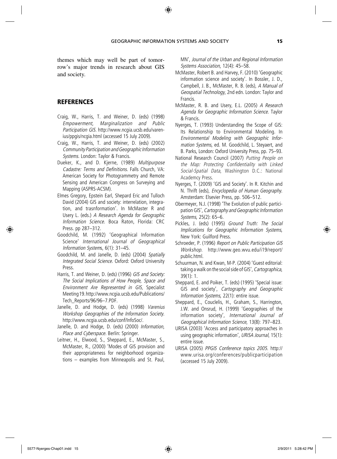themes which may well be part of tomorrow's major trends in research about GIS and society.

#### **REFERENCES**

- Craig, W., Harris, T. and Weiner, D. (eds) (1998) *Empowerment, Marginalization and Public Participation GIS.* http://www.ncgia.ucsb.edu/varenius/ppgis/ncgia.html (accessed 15 July 2009).
- Craig, W., Harris, T. and Weiner, D. (eds) (2002) *Community Participation and Geographic Information Systems.* London: Taylor & Francis.
- Dueker, K., and D. Kjerne, (1989) *Multipurpose Cadastre: Terms and Definitions.* Falls Church, VA: American Society for Photogrammetry and Remote Sensing and American Congress on Surveying and Mapping (ASPRS-ACSM).
- Elmes Gregory, Epstein Earl, Shepard Eric and Tulloch David (2004) GIS and society: interrelation, integration, and trasnformation'. In McMaster R and Usery L. (eds.) *A Research Agenda for Geographic Information Science*. Boca Raton, Florida: CRC Press. pp 287–312.
- Goodchild, M. (1992) 'Geographical Information Science' *International Journal of Geographical Information System*s, 6(1): 31–45.
- Goodchild, M. and Janelle, D. (eds) (2004) *Spatially Integrated Social Science.* Oxford: Oxford University Press.
- Harris, T. and Weiner, D. (eds) (1996) *GIS and Society: The Social Implications of How People, Space and Environment Are Represented in GIS*, Specialist Meeting 19. http://www.ncgia.ucsb.edu/Publications/ Tech\_Reports/96/96–7.PDF.
- Janelle, D. and Hodge, D. (eds) (1998) *Varenius Workshop Geographies of the Information Society*. http://www.ncgia.ucsb.edu/conf/InfoSoc/.
- Janelle, D. and Hodge, D. (eds) (2000) *Information, Place and Cyberspace.* Berlin: Springer.
- Leitner, H., Elwood, S., Sheppard, E., McMaster, S., McMaster, R., (2000) 'Modes of GIS provision and their appropriateness for neighborhood organizations – examples from Minneapolis and St. Paul,

MN', *Journal of the Urban and Regional Information Systems Association*, 12(4): 45–58.

- McMaster, Robert B. and Harvey, F. (2010) 'Geographic information science and society'. In Bossler, J. D., Campbell, J. B., McMaster, R. B. (eds), *A Manual of Geospatial Technology*, 2nd edn. London: Taylor and Francis.
- McMaster, R. B. and Usery, E.L. (2005) *A Research Agenda for Geographic Information Science*. Taylor & Francis.
- Nyerges, T. (1993) Understanding the Scope of GIS: Its Relationship to Environmental Modeling. In *Environmental Modeling with Geographic Information Systems*, ed. M. Goodchild, L. Steyaert, and B. Parks, London: Oxford University Press, pp. 75–93.
- National Research Council (2007) *Putting People on the Map: Protecting Confidentiality with Linked Social-Spatial Data*, Washington D.C.: National Academcy Press.
- Nyerges, T. (2009) 'GIS and Society'. In R. Kitchin and N. Thrift (eds), *Encyclopedia of Human Geography*. Amsterdam: Elsevier Press, pp. 506–512.
- Obermeyer, N.J. (1998) 'The Evolution of public participation GIS', *Cartography and Geographic Information Systems*, 25(2): 65–6.
- Pickles, J. (eds) (1995) *Ground Truth: The Social Implications for Geographic Information Systems*, New York: Guilford Press.
- Schroeder, P. (1996) *Report on Public Participation GIS Workshop*. http://www.geo.wvu.edu/i19/report/ public.html.
- Schuurman, N. and Kwan, M-P. (2004) 'Guest editorial: taking a walk on the social side of GIS', *Cartographica*, 39(1): 1.
- Sheppard, E. and Poiker, T. (eds) (1995) 'Special issue: GIS and society', *Cartography and Geographic Information Systems*, 22(1): entire issue.
- Sheppard, E., Couclelis, H., Graham, S., Harrington, J.W. and Onsrud, H. (1999) 'Geographies of the information society', *International Journal of Geographical Information Science*, 13(8): 797–823.
- URISA (2003) 'Access and participatory approaches in using geographic information', *URISA Journal*, 15(1): entire issue.
- URISA (2005) *PPGIS Conference topics 2005*. http:// www.urisa.org/conferences/publicparticipation (accessed 15 July 2009).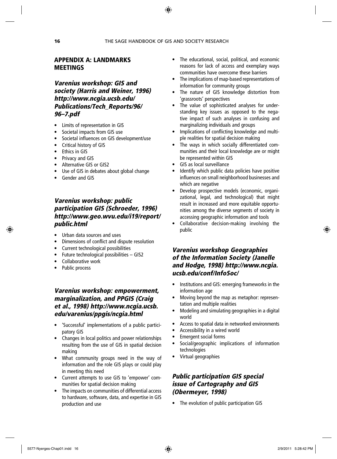## APPENDIX A: LANDMARKS **MEETINGS**

*Varenius workshop: GIS and society (Harris and Weiner, 1996) http://www.ncgia.ucsb.edu/ Publications/Tech\_Reports/96/ 96–7.pdf*

- Limits of representation in GIS
- Societal impacts from GIS use
- Societal influences on GIS development/use
- Critical history of GIS
- **Ethics in GIS**
- Privacy and GIS
- Alternative GIS or GIS2
- Use of GIS in debates about global change
- Gender and GIS

# *Varenius workshop: public participation GIS (Schroeder, 1996) http://www.geo.wvu.edu/i19/report/ public.html*

- Urban data sources and uses
- Dimensions of conflict and dispute resolution
- Current technological possibilities
- Future technological possibilities GIS2
- Collaborative work
- Public process

⊕

# *Varenius workshop: empowerment, marginalization, and PPGIS (Craig et al., 1998) http://www.ncgia.ucsb. edu/varenius/ppgis/ncgia.html*

- 'Successful' implementations of a public participatory GIS
- Changes in local politics and power relationships resulting from the use of GIS in spatial decision making
- What community groups need in the way of information and the role GIS plays or could play in meeting this need
- Current attempts to use GIS to 'empower' communities for spatial decision making
- The impacts on communities of differential access to hardware, software, data, and expertise in GIS production and use
- The educational, social, political, and economic reasons for lack of access and exemplary ways communities have overcome these barriers
- The implications of map-based representations of information for community groups
- The nature of GIS knowledge distortion from 'grassroots' perspectives
- The value of sophisticated analyses for understanding key issues as opposed to the negative impact of such analyses in confusing and marginalizing individuals and groups
- Implications of conflicting knowledge and multiple realities for spatial decision making
- The ways in which socially differentiated communities and their local knowledge are or might be represented within GIS
- GIS as local surveillance
- Identify which public data policies have positive influences on small neighborhood businesses and which are negative
- Develop prospective models (economic, organizational, legal, and technological) that might result in increased and more equitable opportunities among the diverse segments of society in accessing geographic information and tools
- Collaborative decision-making involving the public

# *Varenius workshop Geographies of the Information Society (Janelle and Hodge, 1998) http://www.ncgia. ucsb.edu/conf/InfoSoc/*

- Institutions and GIS: emerging frameworks in the information age
- Moving beyond the map as metaphor: representation and multiple realities
- Modeling and simulating geographies in a digital world
- Access to spatial data in networked environments
- Accessibility in a wired world
- Emergent social forms
- Social/geographic implications of information technologies
- Virtual geographies

## *Public participation GIS special issue of Cartography and GIS (Obermeyer, 1998)*

• The evolution of public participation GIS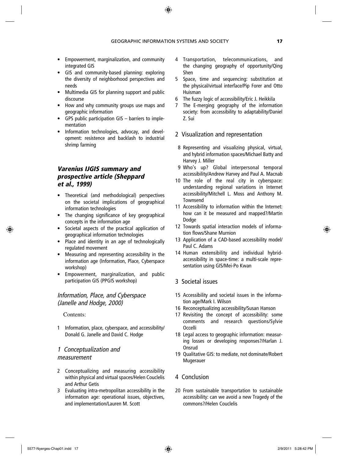- Empowerment, marginalization, and community integrated GIS
- GIS and community-based planning: exploring the diversity of neighborhood perspectives and needs
- Multimedia GIS for planning support and public discourse
- How and why community groups use maps and geographic information
- GPS public participation GIS barriers to implementation
- Information technologies, advocay, and development: resistence and backlash to industrial shrimp farming

# *Varenius IJGIS summary and prospective article (Sheppard et al., 1999)*

- Theoretical (and methodological) perspectives on the societal implications of geographical information technologies
- The changing significance of key geographical concepts in the information age
- Societal aspects of the practical application of geographical information technologies
- Place and identity in an age of technologically regulated movement
- Measuring and representing accessibility in the information age (Information, Place, Cyberspace workshop)
- Empowerment, marginalization, and public participation GIS (PPGIS workshop)

## *Information, Place, and Cyberspace (Janelle and Hodge, 2000)*

Contents:

1 Information, place, cyberspace, and accessibility/ Donald G. Janelle and David C. Hodge

## *1 Conceptualization and measurement*

- 2 Conceptualizing and measuring accessibility within physical and virtual spaces/Helen Couclelis and Arthur Getis
- 3 Evaluating intra-metropolitan accessibility in the information age: operational issues, objectives, and implementation/Lauren M. Scott
- 4 Transportation, telecommunications, and the changing geography of opportunity/Qing Shen
- 5 Space, time and sequencing: substitution at the physical/virtual interface/Pip Forer and Otto Huisman
- 6 The fuzzy logic of accessibility/Eric J. Heikkila
- 7 The E-merging geography of the information society: from accessibility to adaptability/Daniel Z. Sui

#### 2 Visualization and representation

- 8 Representing and visualizing physical, virtual, and hybrid information spaces/Michael Batty and Harvey J. Miller
- 9 Who's up? Global interpersonal temporal accessibility/Andrew Harvey and Paul A. Macnab
- 10 The role of the real city in cyberspace: understanding regional variations in Internet accessibility/Mitchell L. Moss and Anthony M. Townsend
- 11 Accessibility to information within the Internet: how can it be measured and mapped?/Martin Dodge
- 12 Towards spatial interaction models of information flows/Shane Murnion
- 13 Application of a CAD-based accessibility model/ Paul C. Adams
- 14 Human extensibility and individual hybridaccessibility in space-time: a multi-scale representation using GIS/Mei-Po Kwan

#### 3 Societal issues

- 15 Accessibility and societal issues in the information age/Mark I. Wilson
- 16 Reconceptualizing accessibility/Susan Hanson
- 17 Revisiting the concept of accessibility: some comments and research questions/Sylvie Occelli
- 18 Legal access to geographic information: measuring losses or developing responses?/Harlan J. Onsrud
- 19 Qualitative GIS: to mediate, not dominate/Robert Mugerauer

## 4 Conclusion

20 From sustainable transportation to sustainable accessibility: can we avoid a new Tragedy of the commons?/Helen Couclelis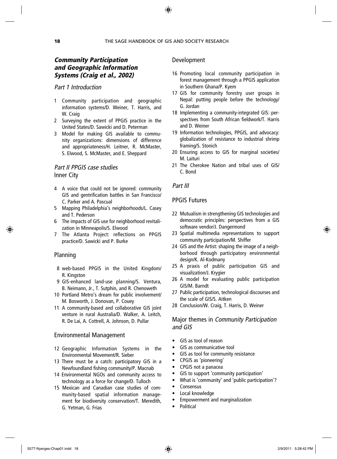# *Community Participation and Geographic Information Systems (Craig et al., 2002)*

## *Part 1 Introduction*

- 1 Community participation and geographic information systems/D. Weiner, T. Harris, and W. Craig
- 2 Surveying the extent of PPGIS practice in the United States/D. Sawicki and D. Peterman
- 3 Model for making GIS available to community organizations: dimensions of difference and appropriateness/H. Leitner, R. McMaster, S. Elwood, S. McMaster, and E. Sheppard

## *Part II PPGIS case studies* Inner City

- 4 A voice that could not be ignored: community GIS and gentrification battles in San Francisco/ C. Parker and A. Pascual
- 5 Mapping Philadelphia's neighborhoods/L. Casey and T. Pederson
- 6 The impacts of GIS use for neighborhood revitalization in Minneapolis/S. Elwood
- 7 The Atlanta Project: reflections on PPGIS practice/D. Sawicki and P. Burke

#### Planning

- 8 web-based PPGIS in the United Kingdom/ R. Kingston
- 9 GIS-enhanced land-use planning/S. Ventura, B. Neimann, Jr., T. Sutphin, and R. Chenoweth
- 10 Portland Metro's dream for public involvement/ M. Bosworth, J. Donovan, P. Couey
- 11 A community-based and collaborative GIS joint venture in rural Australia/D. Walker, A. Leitch, R. De Lai, A. Cottrell, A. Johnson, D. Pullar

#### Environmental Management

- 12 Geographic Information Systems in the Environmental Movement/R. Sieber
- 13 There must be a catch: participatory GIS in a Newfoundland fishing community/P. Macnab
- 14 Environmental NGOs and community access to technology as a force for change/D. Tulloch
- 15 Mexican and Canadian case studies of community-based spatial information management for biodiversity conservation/T. Meredith, G. Yetman, G. Frias

#### Development

- 16 Promoting local community participation in forest management through a PPGIS application in Southern Ghana/P. Kyem
- 17 GIS for community forestry user groups in Nepal: putting people before the technology/ G. Jordan
- 18 Implementing a community-integrated GIS: perspectives from South African fieldwork/T. Harris and D. Weiner
- 19 Information technologies, PPGIS, and advocacy: globalization of resistance to industrial shrimp framing/S. Stonich
- 20 Ensuring access to GIS for marginal societies/ M. Laituri
- 21 The Cherokee Nation and tribal uses of GIS/ C. Bond

#### *Part III*

#### PPGIS Futures

- 22 Mutualism in strengthening GIS technologies and democratic principles: perspectives from a GIS software vendor/J. Dangermond
- 23 Spatial multimedia representations to support community participation/M. Shiffer
- 24 GIS and the Artist: shaping the image of a neighborhood through participatory environmental design/K. Al-Kodmany
- 25 A praxis of public participation GIS and visualization/J. Krygier
- 26 A model for evaluating public participation GIS/M. Barndt
- 27 Public participation, technological discourses and the scale of GIS/S. Aitken
- 28 Conclusion/W. Craig, T. Harris, D. Weiner

## Major themes in *Community Participation and GIS*

- GIS as tool of reason
- GIS as communicative tool
- GIS as tool for community resistance
- CPGIS as 'pioneering'
- CPGIS not a panacea
- GIS to support 'community participation'
- What is 'community' and 'public participation'?
- Consensus
- Local knowledge
- Empowerment and marginalization
- **Political**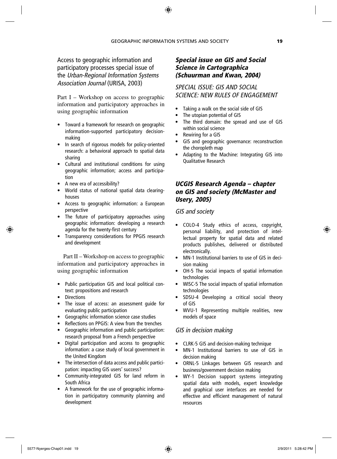Access to geographic information and participatory processes special issue of the *Urban-Regional Information Systems Association Journal* (URISA, 2003)

Part  $I$  – Workshop on access to geographic information and participatory approaches in using geographic information

- Toward a framework for research on geographic information-supported participatory decisionmaking
- In search of rigorous models for policy-oriented research: a behavioral approach to spatial data sharing
- Cultural and institutional conditions for using geographic information; access and participation
- A new era of accessibility?
- World status of national spatial data clearinghouses
- Access to geographic information: a European perspective
- The future of participatory approaches using geographic information: developing a research agenda for the twenty-first century
- Transparency considerations for PPGIS research and development

Part II – Workshop on access to geographic information and participatory approaches in using geographic information

- Public participation GIS and local political context: propositions and research
- **Directions**
- The issue of access: an assessment quide for evaluating public participation
- Geographic information science case studies
- Reflections on PPGIS: A view from the trenches
- Geographic information and public participation: research proposal from a French perspective
- Digital participation and access to geographic information: a case study of local government in the United Kingdom
- The intersection of data access and public participation: impacting GIS users' success?
- Community-integrated GIS for land reform in South Africa
- A framework for the use of geographic information in participatory community planning and development

# *Special issue on GIS and Social Science in Cartographica (Schuurman and Kwan, 2004)*

# *SPECIAL ISSUE: GIS AND SOCIAL SCIENCE: NEW RULES OF ENGAGEMENT*

- Taking a walk on the social side of GIS
- The utopian potential of GIS
- The third domain: the spread and use of GIS within social science
- Rewiring for a GIS
- GIS and geographic governance: reconstruction the choropleth map
- Adapting to the Machine: Integrating GIS into Qualitative Research

# *UCGIS Research Agenda – chapter on GIS and society (McMaster and Usery, 2005)*

## *GIS and society*

- COLO-4 Study ethics of access, copyright, personal liability, and protection of intellectual property for spatial data and related products publishes, delivered or distributed electronically.
- MN-1 Institutional barriers to use of GIS in decision making
- OH-5 The social impacts of spatial information technologies
- WISC-5 The social impacts of spatial information technologies
- SDSU-4 Developing a critical social theory of GIS
- WVU-1 Representing multiple realities, new models of space

#### *GIS in decision making*

- CLRK-5 GIS and decision-making technique
- MN-1 Institutional barriers to use of GIS in decision making
- ORNL-5 Linkages between GIS research and business/government decision making
- WY-1 Decision support systems integrating spatial data with models, expert knowledge and graphical user interfaces are needed for effective and efficient management of natural resources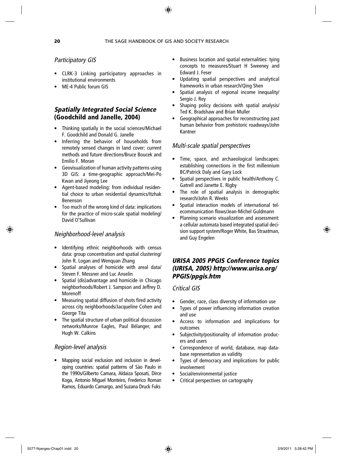#### *Participatory GIS*

- CLRK-3 Linking participatory approaches in institutional environments
- ME-4 Public forum GIS

# *Spatially Integrated Social Science*  (Goodchild and Janelle, 2004)

- Thinking spatially in the social sciences/Michael F. Goodchild and Donald G. Janelle
- Inferring the behavior of households from remotely sensed changes in land cover: current methods and future directions/Bruce Boucek and Emilio F. Moran
- Geovisualization of human activity patterns using 3D GIS: a time-geographic approach/Mei-Po Kwan and Jiyeong Lee
- Agent-based modeling: from individual residential choice to urban residential dynamics/Itzhak Benenson
- Too much of the wrong kind of data: implications for the practice of micro-scale spatial modeling/ David O'Sullivan

#### *Neighborhood-level analysis*

- Identifying ethnic neighborhoods with census data: group concentration and spatial clustering/ John R. Logan and Wenquan Zhang
- Spatial analyses of homicide with areal data/ Steven F. Messner and Luc Anselin
- Spatial (dis)advantage and homicide in Chicago neighborhoods/Robert J. Sampson and Jeffrey D. Morenoff
- Measuring spatial diffusion of shots fired activity across city neighborhoods/Jacqueline Cohen and George Tita
- The spatial structure of urban political discussion networks/Munroe Eagles, Paul Bélanger, and Hugh W. Calkins

#### *Region-level analysis*

• Mapping social exclusion and inclusion in developing countries: spatial patterns of Sào Paulo in the 1990s/Gilberto Camara, Aldaiza Sposati, Dirce Koga, Antonio Miguel Monteiro, Frederico Roman Ramos, Eduardo Camargo, and Suzana Druck Fuks

- Business location and spatial externalities: tying concepts to measures/Stuart H Sweeney and Edward J. Feser
- Updating spatial perspectives and analytical frameworks in urban research/Qing Shen
- Spatial analysis of regional income inequality/ Sergio J. Rey
- Shaping policy decisions with spatial analysis/ Ted K. Bradshaw and Brian Muller
- Geographical approaches for reconstructing past human behavior from prehistoric roadways/John Kantner

## *Multi-scale spatial perspectives*

- Time, space, and archaeological landscapes: establishing connections in the first millennium BC/Patrick Daly and Gary Lock
- Spatial perspectives in public health/Anthony C. Gatrell and Janette E. Rigby
- The role of spatial analysis in demographic research/John R. Weeks
- Spatial interaction models of international telecommunication flows/Jean-Michel Guldmann
- Planning scenario visualization and assessment: a cellular automata based integrated spatial decision support system/Roger White, Bas Straatman, and Guy Engelen

## *URISA 2005 PPGIS Conference topics (URISA, 2005) http://www.urisa.org/ PPGIS/ppgis.htm*

#### *Critical GIS*

- Gender, race, class diversity of information use
- Types of power influencing information creation and use
- Access to information and implications for outcomes
- Subjectivity/positionality of information producers and users
- Correspondence of world, database, map database representation as validity
- Types of democracy and implications for public involvement
- Social/environmental justice
- Critical perspectives on cartography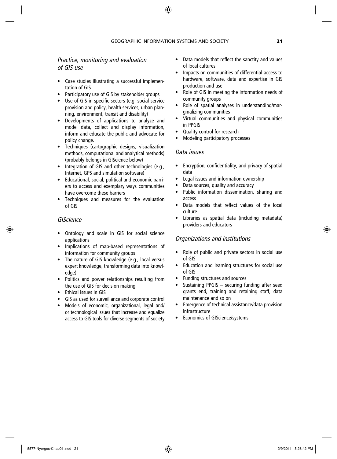## *Practice, monitoring and evaluation of GIS use*

- Case studies illustrating a successful implementation of GIS
- Participatory use of GIS by stakeholder groups
- Use of GIS in specific sectors (e.g. social service provision and policy, health services, urban planning, environment, transit and disability)
- Developments of applications to analyze and model data, collect and display information, inform and educate the public and advocate for policy change.
- Techniques (cartographic designs, visualization methods, computational and analytical methods) (probably belongs in GIScience below)
- Integration of GIS and other technologies (e.g., Internet, GPS and simulation software)
- Educational, social, political and economic barriers to access and exemplary ways communities have overcome these barriers
- Techniques and measures for the evaluation of GIS

#### *GIScience*

- Ontology and scale in GIS for social science applications
- Implications of map-based representations of information for community groups
- The nature of GIS knowledge (e.g., local versus expert knowledge, transforming data into knowledge)
- Politics and power relationships resulting from the use of GIS for decision making
- Ethical issues in GIS
- GIS as used for surveillance and corporate control
- Models of economic, organizational, legal and/ or technological issues that increase and equalize access to GIS tools for diverse segments of society
- Data models that reflect the sanctity and values of local cultures
- Impacts on communities of differential access to hardware, software, data and expertise in GIS production and use
- Role of GIS in meeting the information needs of community groups
- Role of spatial analyses in understanding/marginalizing communities
- Virtual communities and physical communities in PPGIS
- Quality control for research
- Modeling participatory processes

#### *Data issues*

- Encryption, confidentiality, and privacy of spatial data
- Legal issues and information ownership
- Data sources, quality and accuracy
- Public information dissemination, sharing and access
- Data models that reflect values of the local culture
- Libraries as spatial data (including metadata) providers and educators

#### *Organizations and institutions*

- Role of public and private sectors in social use of GIS
- Education and learning structures for social use of GIS
- Funding structures and sources
- Sustaining PPGIS securing funding after seed grants end, training and retaining staff, data maintenance and so on
- Emergence of technical assistance/data provision infrastructure
- Economics of GIScience/systems